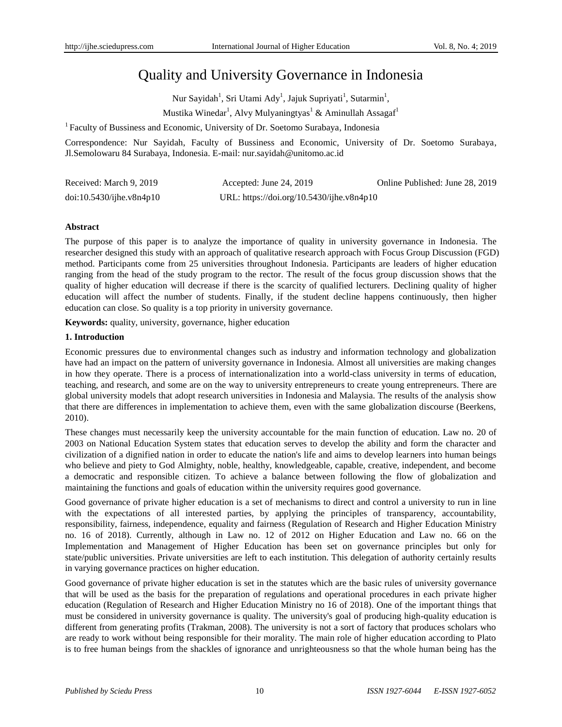# Quality and University Governance in Indonesia

Nur Sayidah<sup>1</sup>, Sri Utami Ady<sup>1</sup>, Jajuk Supriyati<sup>1</sup>, Sutarmin<sup>1</sup>,

Mustika Winedar<sup>1</sup>, Alvy Mulyaningtyas<sup>1</sup> & Aminullah Assagaf<sup>1</sup>

<sup>1</sup> Faculty of Bussiness and Economic, University of Dr. Soetomo Surabaya, Indonesia

Correspondence: Nur Sayidah, Faculty of Bussiness and Economic, University of Dr. Soetomo Surabaya, Jl.Semolowaru 84 Surabaya, Indonesia. E-mail: nur.sayidah@unitomo.ac.id

| Received: March 9, 2019  | Accepted: June 24, 2019                   | Online Published: June 28, 2019 |
|--------------------------|-------------------------------------------|---------------------------------|
| doi:10.5430/ijhe.v8n4p10 | URL: https://doi.org/10.5430/ijhe.v8n4p10 |                                 |

## **Abstract**

The purpose of this paper is to analyze the importance of quality in university governance in Indonesia. The researcher designed this study with an approach of qualitative research approach with Focus Group Discussion (FGD) method. Participants come from 25 universities throughout Indonesia. Participants are leaders of higher education ranging from the head of the study program to the rector. The result of the focus group discussion shows that the quality of higher education will decrease if there is the scarcity of qualified lecturers. Declining quality of higher education will affect the number of students. Finally, if the student decline happens continuously, then higher education can close. So quality is a top priority in university governance.

**Keywords:** quality, university, governance, higher education

# **1. Introduction**

Economic pressures due to environmental changes such as industry and information technology and globalization have had an impact on the pattern of university governance in Indonesia. Almost all universities are making changes in how they operate. There is a process of internationalization into a world-class university in terms of education, teaching, and research, and some are on the way to university entrepreneurs to create young entrepreneurs. There are global university models that adopt research universities in Indonesia and Malaysia. The results of the analysis show that there are differences in implementation to achieve them, even with the same globalization discourse (Beerkens, 2010).

These changes must necessarily keep the university accountable for the main function of education. Law no. 20 of 2003 on National Education System states that education serves to develop the ability and form the character and civilization of a dignified nation in order to educate the nation's life and aims to develop learners into human beings who believe and piety to God Almighty, noble, healthy, knowledgeable, capable, creative, independent, and become a democratic and responsible citizen. To achieve a balance between following the flow of globalization and maintaining the functions and goals of education within the university requires good governance.

Good governance of private higher education is a set of mechanisms to direct and control a university to run in line with the expectations of all interested parties, by applying the principles of transparency, accountability, responsibility, fairness, independence, equality and fairness (Regulation of Research and Higher Education Ministry no. 16 of 2018). Currently, although in Law no. 12 of 2012 on Higher Education and Law no. 66 on the Implementation and Management of Higher Education has been set on governance principles but only for state/public universities. Private universities are left to each institution. This delegation of authority certainly results in varying governance practices on higher education.

Good governance of private higher education is set in the statutes which are the basic rules of university governance that will be used as the basis for the preparation of regulations and operational procedures in each private higher education (Regulation of Research and Higher Education Ministry no 16 of 2018). One of the important things that must be considered in university governance is quality. The university's goal of producing high-quality education is different from generating profits (Trakman, 2008). The university is not a sort of factory that produces scholars who are ready to work without being responsible for their morality. The main role of higher education according to Plato is to free human beings from the shackles of ignorance and unrighteousness so that the whole human being has the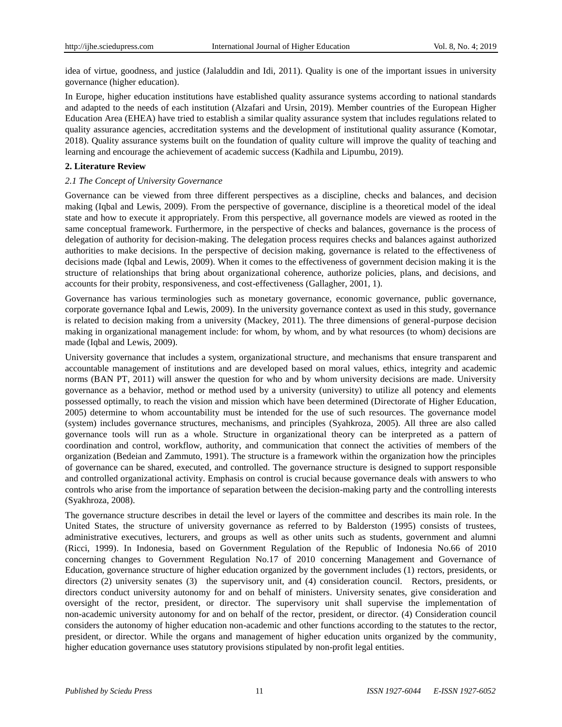idea of virtue, goodness, and justice (Jalaluddin and Idi, 2011). Quality is one of the important issues in university governance (higher education).

In Europe, higher education institutions have established quality assurance systems according to national standards and adapted to the needs of each institution (Alzafari and Ursin, 2019). Member countries of the European Higher Education Area (EHEA) have tried to establish a similar quality assurance system that includes regulations related to quality assurance agencies, accreditation systems and the development of institutional quality assurance (Komotar, 2018). Quality assurance systems built on the foundation of quality culture will improve the quality of teaching and learning and encourage the achievement of academic success (Kadhila and Lipumbu, 2019).

## **2. Literature Review**

## *2.1 The Concept of University Governance*

Governance can be viewed from three different perspectives as a discipline, checks and balances, and decision making (Iqbal and Lewis, 2009). From the perspective of governance, discipline is a theoretical model of the ideal state and how to execute it appropriately. From this perspective, all governance models are viewed as rooted in the same conceptual framework. Furthermore, in the perspective of checks and balances, governance is the process of delegation of authority for decision-making. The delegation process requires checks and balances against authorized authorities to make decisions. In the perspective of decision making, governance is related to the effectiveness of decisions made (Iqbal and Lewis, 2009). When it comes to the effectiveness of government decision making it is the structure of relationships that bring about organizational coherence, authorize policies, plans, and decisions, and accounts for their probity, responsiveness, and cost-effectiveness (Gallagher, 2001, 1).

Governance has various terminologies such as monetary governance, economic governance, public governance, corporate governance Iqbal and Lewis, 2009). In the university governance context as used in this study, governance is related to decision making from a university (Mackey, 2011). The three dimensions of general-purpose decision making in organizational management include: for whom, by whom, and by what resources (to whom) decisions are made (Iqbal and Lewis, 2009).

University governance that includes a system, organizational structure, and mechanisms that ensure transparent and accountable management of institutions and are developed based on moral values, ethics, integrity and academic norms (BAN PT, 2011) will answer the question for who and by whom university decisions are made. University governance as a behavior, method or method used by a university (university) to utilize all potency and elements possessed optimally, to reach the vision and mission which have been determined (Directorate of Higher Education, 2005) determine to whom accountability must be intended for the use of such resources. The governance model (system) includes governance structures, mechanisms, and principles (Syahkroza, 2005). All three are also called governance tools will run as a whole. Structure in organizational theory can be interpreted as a pattern of coordination and control, workflow, authority, and communication that connect the activities of members of the organization (Bedeian and Zammuto, 1991). The structure is a framework within the organization how the principles of governance can be shared, executed, and controlled. The governance structure is designed to support responsible and controlled organizational activity. Emphasis on control is crucial because governance deals with answers to who controls who arise from the importance of separation between the decision-making party and the controlling interests (Syakhroza, 2008).

The governance structure describes in detail the level or layers of the committee and describes its main role. In the United States, the structure of university governance as referred to by Balderston (1995) consists of trustees, administrative executives, lecturers, and groups as well as other units such as students, government and alumni (Ricci, 1999). In Indonesia, based on Government Regulation of the Republic of Indonesia No.66 of 2010 concerning changes to Government Regulation No.17 of 2010 concerning Management and Governance of Education, governance structure of higher education organized by the government includes (1) rectors, presidents, or directors (2) university senates (3) the supervisory unit, and (4) consideration council. Rectors, presidents, or directors conduct university autonomy for and on behalf of ministers. University senates, give consideration and oversight of the rector, president, or director. The supervisory unit shall supervise the implementation of non-academic university autonomy for and on behalf of the rector, president, or director. (4) Consideration council considers the autonomy of higher education non-academic and other functions according to the statutes to the rector, president, or director. While the organs and management of higher education units organized by the community, higher education governance uses statutory provisions stipulated by non-profit legal entities.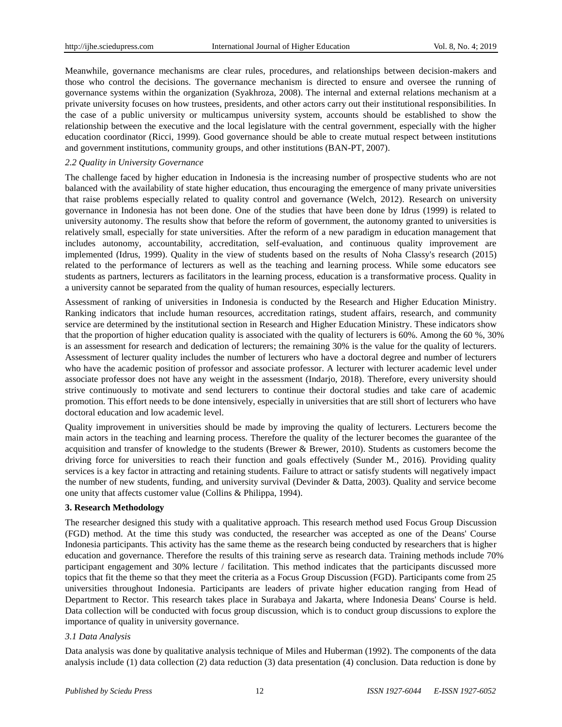Meanwhile, governance mechanisms are clear rules, procedures, and relationships between decision-makers and those who control the decisions. The governance mechanism is directed to ensure and oversee the running of governance systems within the organization (Syakhroza, 2008). The internal and external relations mechanism at a private university focuses on how trustees, presidents, and other actors carry out their institutional responsibilities. In the case of a public university or multicampus university system, accounts should be established to show the relationship between the executive and the local legislature with the central government, especially with the higher education coordinator (Ricci, 1999). Good governance should be able to create mutual respect between institutions and government institutions, community groups, and other institutions (BAN-PT, 2007).

#### *2.2 Quality in University Governance*

The challenge faced by higher education in Indonesia is the increasing number of prospective students who are not balanced with the availability of state higher education, thus encouraging the emergence of many private universities that raise problems especially related to quality control and governance (Welch, 2012). Research on university governance in Indonesia has not been done. One of the studies that have been done by Idrus (1999) is related to university autonomy. The results show that before the reform of government, the autonomy granted to universities is relatively small, especially for state universities. After the reform of a new paradigm in education management that includes autonomy, accountability, accreditation, self-evaluation, and continuous quality improvement are implemented (Idrus, 1999). Quality in the view of students based on the results of Noha Classy's research (2015) related to the performance of lecturers as well as the teaching and learning process. While some educators see students as partners, lecturers as facilitators in the learning process, education is a transformative process. Quality in a university cannot be separated from the quality of human resources, especially lecturers.

Assessment of ranking of universities in Indonesia is conducted by the Research and Higher Education Ministry. Ranking indicators that include human resources, accreditation ratings, student affairs, research, and community service are determined by the institutional section in Research and Higher Education Ministry. These indicators show that the proportion of higher education quality is associated with the quality of lecturers is 60%. Among the 60 %, 30% is an assessment for research and dedication of lecturers; the remaining 30% is the value for the quality of lecturers. Assessment of lecturer quality includes the number of lecturers who have a doctoral degree and number of lecturers who have the academic position of professor and associate professor. A lecturer with lecturer academic level under associate professor does not have any weight in the assessment (Indarjo, 2018). Therefore, every university should strive continuously to motivate and send lecturers to continue their doctoral studies and take care of academic promotion. This effort needs to be done intensively, especially in universities that are still short of lecturers who have doctoral education and low academic level.

Quality improvement in universities should be made by improving the quality of lecturers. Lecturers become the main actors in the teaching and learning process. Therefore the quality of the lecturer becomes the guarantee of the acquisition and transfer of knowledge to the students (Brewer & Brewer, 2010). Students as customers become the driving force for universities to reach their function and goals effectively (Sunder M., 2016). Providing quality services is a key factor in attracting and retaining students. Failure to attract or satisfy students will negatively impact the number of new students, funding, and university survival (Devinder & Datta, 2003). Quality and service become one unity that affects customer value (Collins & Philippa, 1994).

#### **3. Research Methodology**

The researcher designed this study with a qualitative approach. This research method used Focus Group Discussion (FGD) method. At the time this study was conducted, the researcher was accepted as one of the Deans' Course Indonesia participants. This activity has the same theme as the research being conducted by researchers that is higher education and governance. Therefore the results of this training serve as research data. Training methods include 70% participant engagement and 30% lecture / facilitation. This method indicates that the participants discussed more topics that fit the theme so that they meet the criteria as a Focus Group Discussion (FGD). Participants come from 25 universities throughout Indonesia. Participants are leaders of private higher education ranging from Head of Department to Rector. This research takes place in Surabaya and Jakarta, where Indonesia Deans' Course is held. Data collection will be conducted with focus group discussion, which is to conduct group discussions to explore the importance of quality in university governance.

# *3.1 Data Analysis*

Data analysis was done by qualitative analysis technique of Miles and Huberman (1992). The components of the data analysis include (1) data collection (2) data reduction (3) data presentation (4) conclusion. Data reduction is done by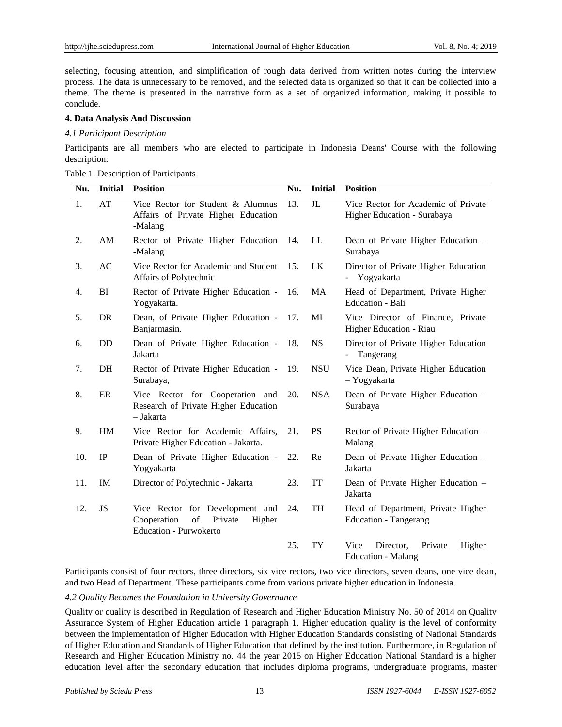selecting, focusing attention, and simplification of rough data derived from written notes during the interview process. The data is unnecessary to be removed, and the selected data is organized so that it can be collected into a theme. The theme is presented in the narrative form as a set of organized information, making it possible to conclude.

## **4. Data Analysis And Discussion**

## *4.1 Participant Description*

Participants are all members who are elected to participate in Indonesia Deans' Course with the following description:

|  |  | Table 1. Description of Participants |
|--|--|--------------------------------------|
|--|--|--------------------------------------|

| Nu. | <b>Initial</b> | <b>Position</b>                                                                                     | Nu. | <b>Initial</b> | <b>Position</b>                                                     |
|-----|----------------|-----------------------------------------------------------------------------------------------------|-----|----------------|---------------------------------------------------------------------|
| 1.  | AT             | Vice Rector for Student & Alumnus<br>Affairs of Private Higher Education<br>-Malang                 | 13. | J <sub>L</sub> | Vice Rector for Academic of Private<br>Higher Education - Surabaya  |
| 2.  | AM             | Rector of Private Higher Education<br>-Malang                                                       | 14. | LL             | Dean of Private Higher Education -<br>Surabaya                      |
| 3.  | AC             | Vice Rector for Academic and Student<br>Affairs of Polytechnic                                      | 15. | LK             | Director of Private Higher Education<br>- Yogyakarta                |
| 4.  | BI             | Rector of Private Higher Education -<br>Yogyakarta.                                                 | 16. | MA             | Head of Department, Private Higher<br>Education - Bali              |
| 5.  | <b>DR</b>      | Dean, of Private Higher Education -<br>Banjarmasin.                                                 | 17. | MI             | Vice Director of Finance, Private<br>Higher Education - Riau        |
| 6.  | <b>DD</b>      | Dean of Private Higher Education -<br>Jakarta                                                       | 18. | <b>NS</b>      | Director of Private Higher Education<br>Tangerang<br>$\blacksquare$ |
| 7.  | DH             | Rector of Private Higher Education -<br>Surabaya,                                                   | 19. | <b>NSU</b>     | Vice Dean, Private Higher Education<br>- Yogyakarta                 |
| 8.  | ER             | Vice Rector for Cooperation and<br>Research of Private Higher Education<br>- Jakarta                | 20. | <b>NSA</b>     | Dean of Private Higher Education -<br>Surabaya                      |
| 9.  | HM             | Vice Rector for Academic Affairs,<br>Private Higher Education - Jakarta.                            | 21. | <b>PS</b>      | Rector of Private Higher Education -<br>Malang                      |
| 10. | IP             | Dean of Private Higher Education -<br>Yogyakarta                                                    | 22. | Re             | Dean of Private Higher Education -<br>Jakarta                       |
| 11. | IM             | Director of Polytechnic - Jakarta                                                                   | 23. | <b>TT</b>      | Dean of Private Higher Education -<br>Jakarta                       |
| 12. | JS             | Vice Rector for Development and<br>Cooperation<br>Private<br>of<br>Higher<br>Education - Purwokerto | 24. | TH             | Head of Department, Private Higher<br><b>Education - Tangerang</b>  |
|     |                |                                                                                                     | 25. | TY             | Vice<br>Director,<br>Private<br>Higher<br><b>Education - Malang</b> |

Participants consist of four rectors, three directors, six vice rectors, two vice directors, seven deans, one vice dean, and two Head of Department. These participants come from various private higher education in Indonesia.

# *4.2 Quality Becomes the Foundation in University Governance*

Quality or quality is described in Regulation of Research and Higher Education Ministry No. 50 of 2014 on Quality Assurance System of Higher Education article 1 paragraph 1. Higher education quality is the level of conformity between the implementation of Higher Education with Higher Education Standards consisting of National Standards of Higher Education and Standards of Higher Education that defined by the institution. Furthermore, in Regulation of Research and Higher Education Ministry no. 44 the year 2015 on Higher Education National Standard is a higher education level after the secondary education that includes diploma programs, undergraduate programs, master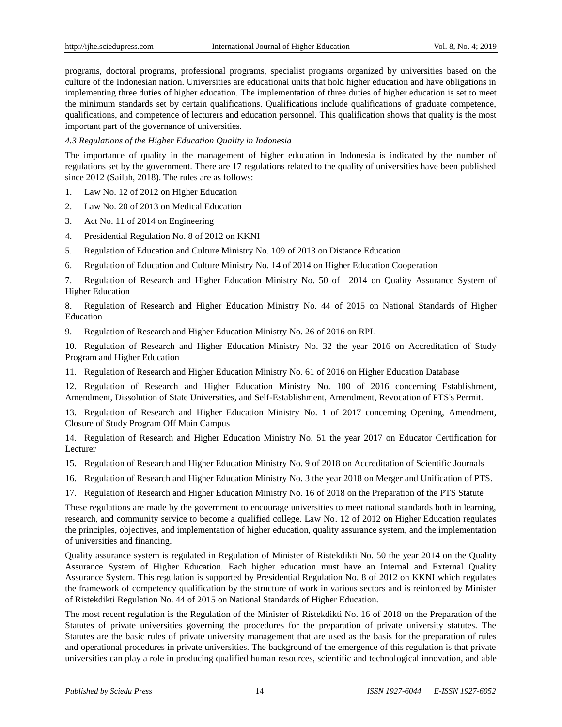programs, doctoral programs, professional programs, specialist programs organized by universities based on the culture of the Indonesian nation. Universities are educational units that hold higher education and have obligations in implementing three duties of higher education. The implementation of three duties of higher education is set to meet the minimum standards set by certain qualifications. Qualifications include qualifications of graduate competence, qualifications, and competence of lecturers and education personnel. This qualification shows that quality is the most important part of the governance of universities.

## *4.3 Regulations of the Higher Education Quality in Indonesia*

The importance of quality in the management of higher education in Indonesia is indicated by the number of regulations set by the government. There are 17 regulations related to the quality of universities have been published since 2012 (Sailah, 2018). The rules are as follows:

- 1. Law No. 12 of 2012 on Higher Education
- 2. Law No. 20 of 2013 on Medical Education
- 3. Act No. 11 of 2014 on Engineering
- 4. Presidential Regulation No. 8 of 2012 on KKNI
- 5. Regulation of Education and Culture Ministry No. 109 of 2013 on Distance Education
- 6. Regulation of Education and Culture Ministry No. 14 of 2014 on Higher Education Cooperation

7. Regulation of Research and Higher Education Ministry No. 50 of 2014 on Quality Assurance System of Higher Education

8. Regulation of Research and Higher Education Ministry No. 44 of 2015 on National Standards of Higher Education

9. Regulation of Research and Higher Education Ministry No. 26 of 2016 on RPL

10. Regulation of Research and Higher Education Ministry No. 32 the year 2016 on Accreditation of Study Program and Higher Education

11. Regulation of Research and Higher Education Ministry No. 61 of 2016 on Higher Education Database

12. Regulation of Research and Higher Education Ministry No. 100 of 2016 concerning Establishment, Amendment, Dissolution of State Universities, and Self-Establishment, Amendment, Revocation of PTS's Permit.

13. Regulation of Research and Higher Education Ministry No. 1 of 2017 concerning Opening, Amendment, Closure of Study Program Off Main Campus

14. Regulation of Research and Higher Education Ministry No. 51 the year 2017 on Educator Certification for Lecturer

- 15. Regulation of Research and Higher Education Ministry No. 9 of 2018 on Accreditation of Scientific Journals
- 16. Regulation of Research and Higher Education Ministry No. 3 the year 2018 on Merger and Unification of PTS.
- 17. Regulation of Research and Higher Education Ministry No. 16 of 2018 on the Preparation of the PTS Statute

These regulations are made by the government to encourage universities to meet national standards both in learning, research, and community service to become a qualified college. Law No. 12 of 2012 on Higher Education regulates the principles, objectives, and implementation of higher education, quality assurance system, and the implementation of universities and financing.

Quality assurance system is regulated in Regulation of Minister of Ristekdikti No. 50 the year 2014 on the Quality Assurance System of Higher Education. Each higher education must have an Internal and External Quality Assurance System. This regulation is supported by Presidential Regulation No. 8 of 2012 on KKNI which regulates the framework of competency qualification by the structure of work in various sectors and is reinforced by Minister of Ristekdikti Regulation No. 44 of 2015 on National Standards of Higher Education.

The most recent regulation is the Regulation of the Minister of Ristekdikti No. 16 of 2018 on the Preparation of the Statutes of private universities governing the procedures for the preparation of private university statutes. The Statutes are the basic rules of private university management that are used as the basis for the preparation of rules and operational procedures in private universities. The background of the emergence of this regulation is that private universities can play a role in producing qualified human resources, scientific and technological innovation, and able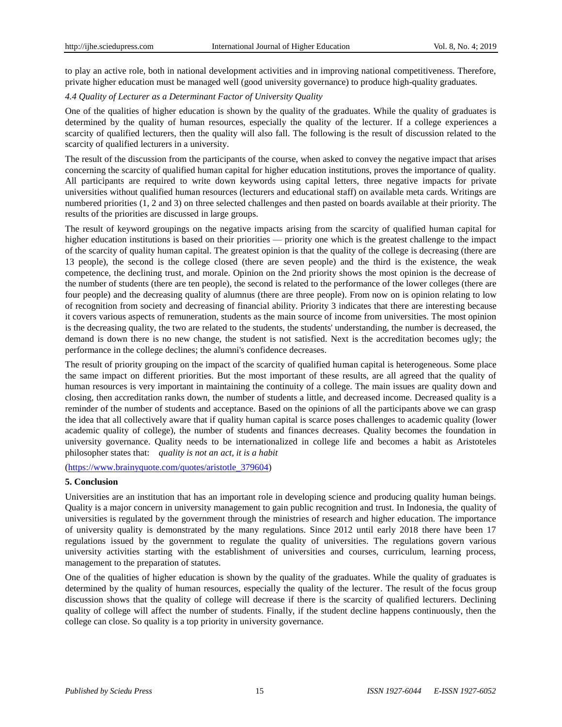to play an active role, both in national development activities and in improving national competitiveness. Therefore, private higher education must be managed well (good university governance) to produce high-quality graduates.

## *4.4 Quality of Lecturer as a Determinant Factor of University Quality*

One of the qualities of higher education is shown by the quality of the graduates. While the quality of graduates is determined by the quality of human resources, especially the quality of the lecturer. If a college experiences a scarcity of qualified lecturers, then the quality will also fall. The following is the result of discussion related to the scarcity of qualified lecturers in a university.

The result of the discussion from the participants of the course, when asked to convey the negative impact that arises concerning the scarcity of qualified human capital for higher education institutions, proves the importance of quality. All participants are required to write down keywords using capital letters, three negative impacts for private universities without qualified human resources (lecturers and educational staff) on available meta cards. Writings are numbered priorities (1, 2 and 3) on three selected challenges and then pasted on boards available at their priority. The results of the priorities are discussed in large groups.

The result of keyword groupings on the negative impacts arising from the scarcity of qualified human capital for higher education institutions is based on their priorities — priority one which is the greatest challenge to the impact of the scarcity of quality human capital. The greatest opinion is that the quality of the college is decreasing (there are 13 people), the second is the college closed (there are seven people) and the third is the existence, the weak competence, the declining trust, and morale. Opinion on the 2nd priority shows the most opinion is the decrease of the number of students (there are ten people), the second is related to the performance of the lower colleges (there are four people) and the decreasing quality of alumnus (there are three people). From now on is opinion relating to low of recognition from society and decreasing of financial ability. Priority 3 indicates that there are interesting because it covers various aspects of remuneration, students as the main source of income from universities. The most opinion is the decreasing quality, the two are related to the students, the students' understanding, the number is decreased, the demand is down there is no new change, the student is not satisfied. Next is the accreditation becomes ugly; the performance in the college declines; the alumni's confidence decreases.

The result of priority grouping on the impact of the scarcity of qualified human capital is heterogeneous. Some place the same impact on different priorities. But the most important of these results, are all agreed that the quality of human resources is very important in maintaining the continuity of a college. The main issues are quality down and closing, then accreditation ranks down, the number of students a little, and decreased income. Decreased quality is a reminder of the number of students and acceptance. Based on the opinions of all the participants above we can grasp the idea that all collectively aware that if quality human capital is scarce poses challenges to academic quality (lower academic quality of college), the number of students and finances decreases. Quality becomes the foundation in university governance. Quality needs to be internationalized in college life and becomes a habit as Aristoteles philosopher states that: *quality is not an act, it is a habit*

[\(https://www.brainyquote.com/quotes/aristotle\\_379604\)](https://www.brainyquote.com/quotes/aristotle_379604)

#### **5. Conclusion**

Universities are an institution that has an important role in developing science and producing quality human beings. Quality is a major concern in university management to gain public recognition and trust. In Indonesia, the quality of universities is regulated by the government through the ministries of research and higher education. The importance of university quality is demonstrated by the many regulations. Since 2012 until early 2018 there have been 17 regulations issued by the government to regulate the quality of universities. The regulations govern various university activities starting with the establishment of universities and courses, curriculum, learning process, management to the preparation of statutes.

One of the qualities of higher education is shown by the quality of the graduates. While the quality of graduates is determined by the quality of human resources, especially the quality of the lecturer. The result of the focus group discussion shows that the quality of college will decrease if there is the scarcity of qualified lecturers. Declining quality of college will affect the number of students. Finally, if the student decline happens continuously, then the college can close. So quality is a top priority in university governance.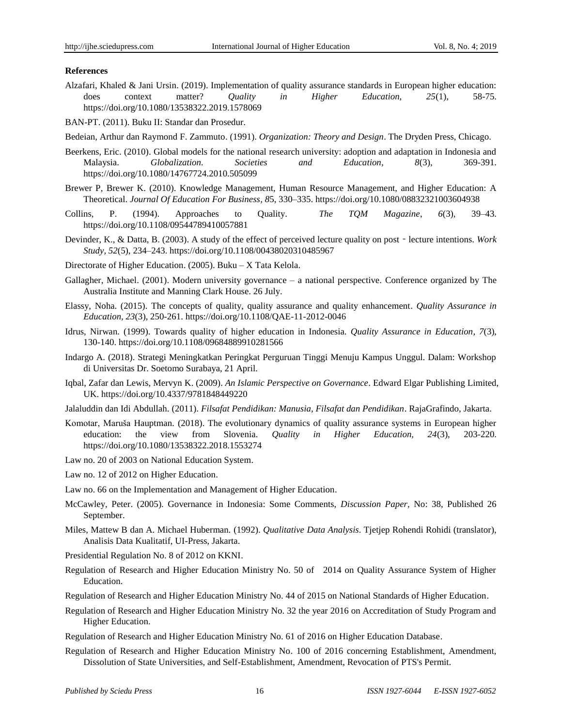#### **References**

Alzafari, Khaled & Jani Ursin. (2019). Implementation of quality assurance standards in European higher education: does context matter? *Quality in Higher Education, 25*(1), 58-75. <https://doi.org/10.1080/13538322.2019.1578069>

BAN-PT. (2011). Buku II: Standar dan Prosedur.

- Bedeian, Arthur dan Raymond F. Zammuto. (1991). *Organization: Theory and Design*. The Dryden Press, Chicago.
- Beerkens, Eric. (2010). Global models for the national research university: adoption and adaptation in Indonesia and Malaysia. *Globalization. Societies and Education, 8*(3), 369-391. <https://doi.org/10.1080/14767724.2010.505099>
- Brewer P, Brewer K. (2010). Knowledge Management, Human Resource Management, and Higher Education: A Theoretical. *Journal Of Education For Business, 8*5, 330–335[. https://doi.org/10.1080/08832321003604938](https://doi.org/10.1080/08832321003604938)
- Collins, P. (1994). Approaches to Quality. *The TQM Magazine*, *6*(3), 39–43. <https://doi.org/10.1108/09544789410057881>
- Devinder, K., & Datta, B. (2003). A study of the effect of perceived lecture quality on post‐lecture intentions. *Work Study, 52*(5), 234–243.<https://doi.org/10.1108/00438020310485967>
- Directorate of Higher Education. (2005). Buku X Tata Kelola.
- Gallagher, Michael. (2001). Modern university governance a national perspective. Conference organized by The Australia Institute and Manning Clark House. 26 July.
- Elassy, Noha. (2015). The concepts of quality, quality assurance and quality enhancement. *Quality Assurance in Education, 23*(3), 250-261. <https://doi.org/10.1108/QAE-11-2012-0046>
- Idrus, Nirwan. (1999). Towards quality of higher education in Indonesia. *Quality Assurance in Education, 7*(3), 130-140.<https://doi.org/10.1108/09684889910281566>
- Indargo A. (2018). Strategi Meningkatkan Peringkat Perguruan Tinggi Menuju Kampus Unggul. Dalam: Workshop di Universitas Dr. Soetomo Surabaya, 21 April.
- Iqbal, Zafar dan Lewis, Mervyn K. (2009). *An Islamic Perspective on Governance*. Edward Elgar Publishing Limited, UK. <https://doi.org/10.4337/9781848449220>
- Jalaluddin dan Idi Abdullah. (2011). *Filsafat Pendidikan: Manusia, Filsafat dan Pendidikan*. RajaGrafindo, Jakarta.
- Komotar, Maruša Hauptman. (2018). The evolutionary dynamics of quality assurance systems in European higher education: the view from Slovenia. *Quality in Higher Education, 24*(3), 203-220. <https://doi.org/10.1080/13538322.2018.1553274>
- Law no. 20 of 2003 on National Education System.
- Law no. 12 of 2012 on Higher Education.
- Law no. 66 on the Implementation and Management of Higher Education.
- McCawley, Peter. (2005). Governance in Indonesia: Some Comments, *Discussion Paper*, No: 38, Published 26 September.
- Miles, Mattew B dan A. Michael Huberman. (1992). *Qualitative Data Analysis*. Tjetjep Rohendi Rohidi (translator), Analisis Data Kualitatif, UI-Press, Jakarta.
- Presidential Regulation No. 8 of 2012 on KKNI.
- Regulation of Research and Higher Education Ministry No. 50 of 2014 on Quality Assurance System of Higher Education.
- Regulation of Research and Higher Education Ministry No. 44 of 2015 on National Standards of Higher Education.
- Regulation of Research and Higher Education Ministry No. 32 the year 2016 on Accreditation of Study Program and Higher Education.
- Regulation of Research and Higher Education Ministry No. 61 of 2016 on Higher Education Database.
- Regulation of Research and Higher Education Ministry No. 100 of 2016 concerning Establishment, Amendment, Dissolution of State Universities, and Self-Establishment, Amendment, Revocation of PTS's Permit.